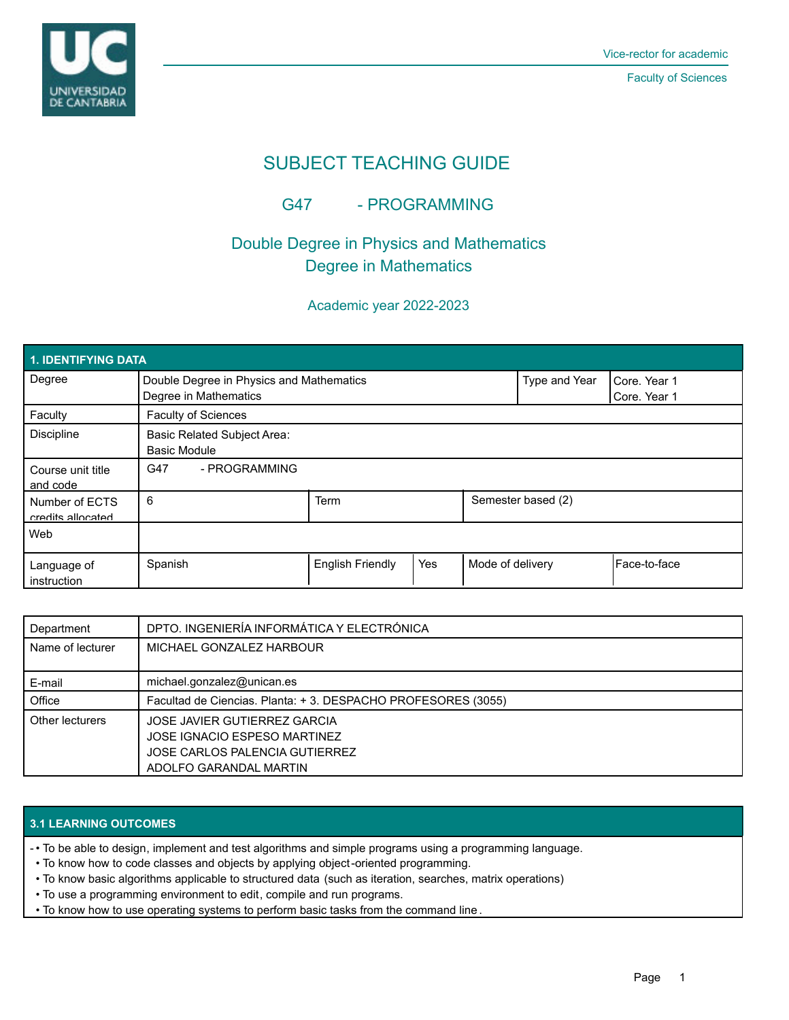

Faculty of Sciences

# SUBJECT TEACHING GUIDE

### G47 - PROGRAMMING

## Double Degree in Physics and Mathematics Degree in Mathematics

### Academic year 2022-2023

| 1. IDENTIFYING DATA                 |                                                                   |                         |                    |                  |                              |              |  |  |  |
|-------------------------------------|-------------------------------------------------------------------|-------------------------|--------------------|------------------|------------------------------|--------------|--|--|--|
| Degree                              | Double Degree in Physics and Mathematics<br>Degree in Mathematics |                         |                    | Type and Year    | Core. Year 1<br>Core. Year 1 |              |  |  |  |
| Faculty                             | Faculty of Sciences                                               |                         |                    |                  |                              |              |  |  |  |
| <b>Discipline</b>                   | <b>Basic Related Subject Area:</b><br><b>Basic Module</b>         |                         |                    |                  |                              |              |  |  |  |
| Course unit title<br>and code       | - PROGRAMMING<br>G47                                              |                         |                    |                  |                              |              |  |  |  |
| Number of ECTS<br>credits allocated | 6                                                                 | Term                    | Semester based (2) |                  |                              |              |  |  |  |
| Web                                 |                                                                   |                         |                    |                  |                              |              |  |  |  |
| Language of<br>instruction          | Spanish                                                           | <b>English Friendly</b> | Yes                | Mode of delivery |                              | Face-to-face |  |  |  |

| Department       | DPTO. INGENIERÍA INFORMÁTICA Y ELECTRÓNICA                   |  |  |
|------------------|--------------------------------------------------------------|--|--|
| Name of lecturer | MICHAEL GONZALEZ HARBOUR                                     |  |  |
|                  |                                                              |  |  |
| E-mail           | michael.gonzalez@unican.es                                   |  |  |
| Office           | Facultad de Ciencias. Planta: +3. DESPACHO PROFESORES (3055) |  |  |
| Other lecturers  | JOSE JAVIER GUTIERREZ GARCIA                                 |  |  |
|                  | JOSE IGNACIO ESPESO MARTINEZ                                 |  |  |
|                  | JOSE CARLOS PALENCIA GUTIERREZ                               |  |  |
|                  | ADOLFO GARANDAL MARTIN                                       |  |  |

#### **3.1 LEARNING OUTCOMES**

• To be able to design, implement and test algorithms and simple programs using a programming language. -

- To know how to code classes and objects by applying object-oriented programming.
- To know basic algorithms applicable to structured data (such as iteration, searches, matrix operations)
- To use a programming environment to edit, compile and run programs.
- To know how to use operating systems to perform basic tasks from the command line .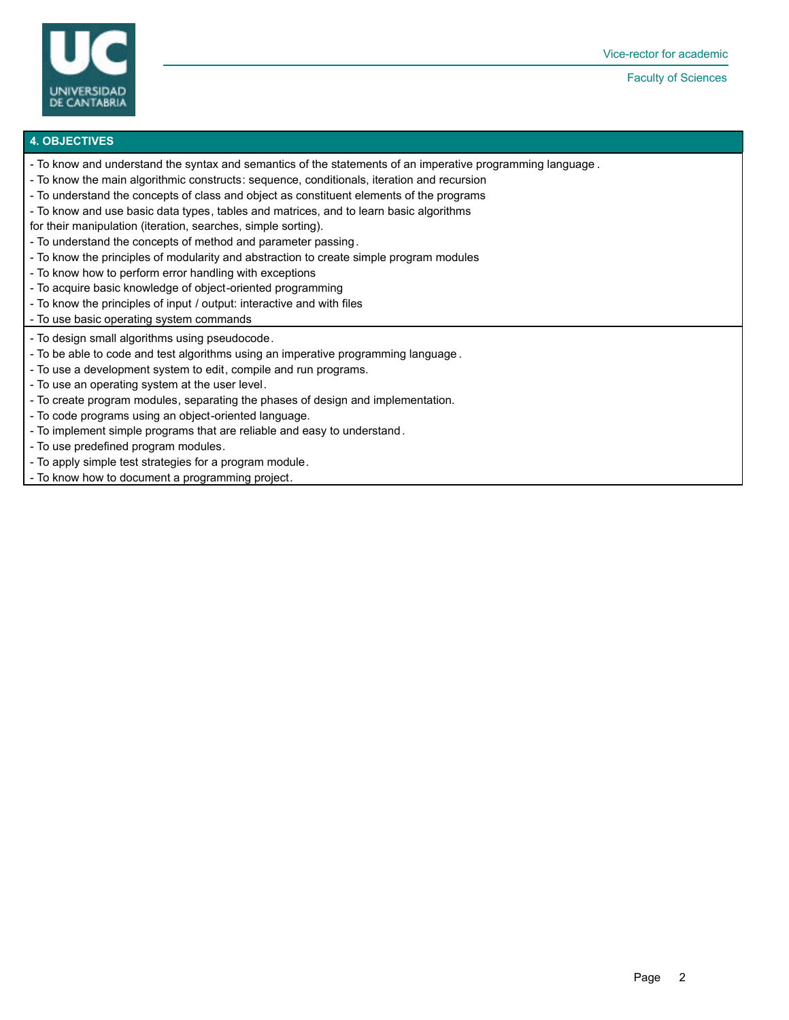

Faculty of Sciences

#### **4. OBJECTIVES**

- To know and understand the syntax and semantics of the statements of an imperative programming language .
- To know the main algorithmic constructs: sequence, conditionals, iteration and recursion
- To understand the concepts of class and object as constituent elements of the programs
- To know and use basic data types, tables and matrices, and to learn basic algorithms
- for their manipulation (iteration, searches, simple sorting).
- To understand the concepts of method and parameter passing.
- To know the principles of modularity and abstraction to create simple program modules
- To know how to perform error handling with exceptions
- To acquire basic knowledge of object-oriented programming
- To know the principles of input / output: interactive and with files
- To use basic operating system commands
- To design small algorithms using pseudocode.
- To be able to code and test algorithms using an imperative programming language .
- To use a development system to edit, compile and run programs.
- To use an operating system at the user level.
- To create program modules, separating the phases of design and implementation.
- To code programs using an object-oriented language.
- To implement simple programs that are reliable and easy to understand.
- To use predefined program modules.
- To apply simple test strategies for a program module.
- To know how to document a programming project.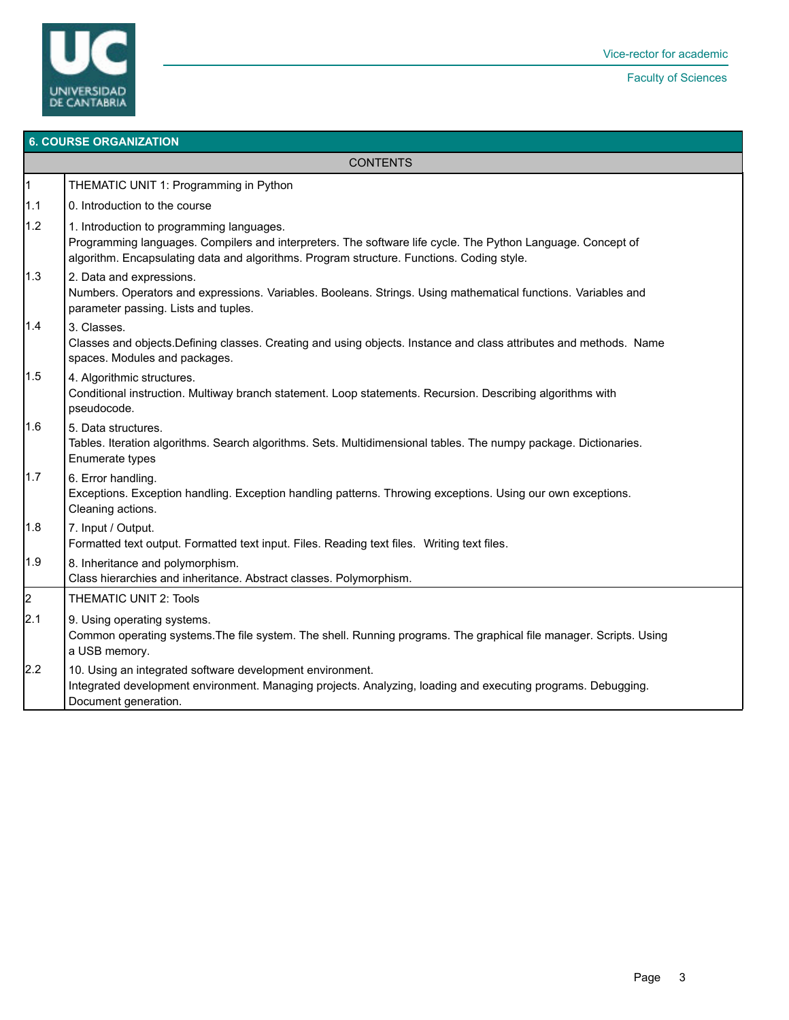

#### **6. COURSE ORGANIZATION**

**CONTENTS** 

| $\vert$ 1            | THEMATIC UNIT 1: Programming in Python                                                                                                                                                                                                                |
|----------------------|-------------------------------------------------------------------------------------------------------------------------------------------------------------------------------------------------------------------------------------------------------|
| 1.1                  | 0. Introduction to the course                                                                                                                                                                                                                         |
| 1.2                  | 1. Introduction to programming languages.<br>Programming languages. Compilers and interpreters. The software life cycle. The Python Language. Concept of<br>algorithm. Encapsulating data and algorithms. Program structure. Functions. Coding style. |
| 1.3                  | 2. Data and expressions.<br>Numbers. Operators and expressions. Variables. Booleans. Strings. Using mathematical functions. Variables and<br>parameter passing. Lists and tuples.                                                                     |
| 1.4                  | 3. Classes.<br>Classes and objects.Defining classes. Creating and using objects. Instance and class attributes and methods. Name<br>spaces. Modules and packages.                                                                                     |
| 1.5                  | 4. Algorithmic structures.<br>Conditional instruction. Multiway branch statement. Loop statements. Recursion. Describing algorithms with<br>pseudocode.                                                                                               |
| 1.6                  | 5. Data structures.<br>Tables. Iteration algorithms. Search algorithms. Sets. Multidimensional tables. The numpy package. Dictionaries.<br>Enumerate types                                                                                            |
| 1.7                  | 6. Error handling.<br>Exceptions. Exception handling. Exception handling patterns. Throwing exceptions. Using our own exceptions.<br>Cleaning actions.                                                                                                |
| 1.8                  | 7. Input / Output.<br>Formatted text output. Formatted text input. Files. Reading text files. Writing text files.                                                                                                                                     |
| 1.9                  | 8. Inheritance and polymorphism.<br>Class hierarchies and inheritance. Abstract classes. Polymorphism.                                                                                                                                                |
| $\vert$ <sub>2</sub> | <b>THEMATIC UNIT 2: Tools</b>                                                                                                                                                                                                                         |
| 2.1                  | 9. Using operating systems.<br>Common operating systems. The file system. The shell. Running programs. The graphical file manager. Scripts. Using<br>a USB memory.                                                                                    |
| 2.2                  | 10. Using an integrated software development environment.<br>Integrated development environment. Managing projects. Analyzing, loading and executing programs. Debugging.<br>Document generation.                                                     |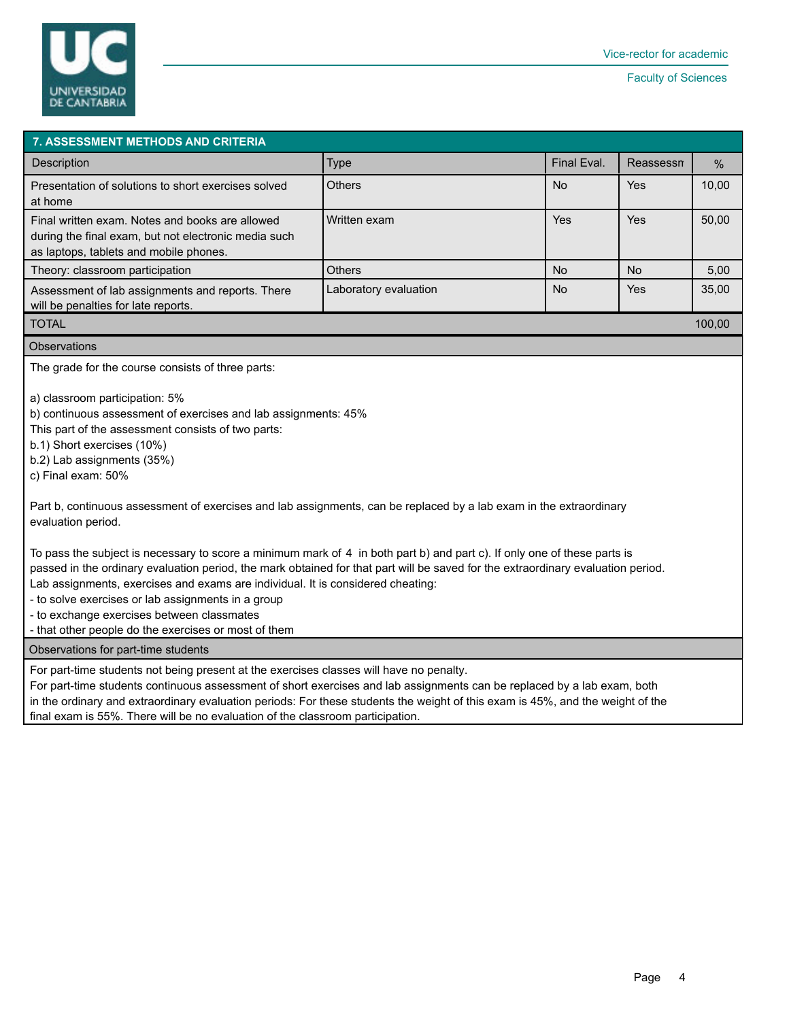

| <b>7. ASSESSMENT METHODS AND CRITERIA</b>                                                                                                                                                                                                                                                                                                                                                                                                                                                                                                                                                                                                                                                                                                                                                                                                                                                        |                       |             |           |               |  |  |  |  |  |
|--------------------------------------------------------------------------------------------------------------------------------------------------------------------------------------------------------------------------------------------------------------------------------------------------------------------------------------------------------------------------------------------------------------------------------------------------------------------------------------------------------------------------------------------------------------------------------------------------------------------------------------------------------------------------------------------------------------------------------------------------------------------------------------------------------------------------------------------------------------------------------------------------|-----------------------|-------------|-----------|---------------|--|--|--|--|--|
| <b>Description</b>                                                                                                                                                                                                                                                                                                                                                                                                                                                                                                                                                                                                                                                                                                                                                                                                                                                                               | <b>Type</b>           | Final Eval. | Reassessn | $\frac{0}{0}$ |  |  |  |  |  |
| Presentation of solutions to short exercises solved<br>at home                                                                                                                                                                                                                                                                                                                                                                                                                                                                                                                                                                                                                                                                                                                                                                                                                                   | Others<br>No          |             | Yes       | 10,00         |  |  |  |  |  |
| Final written exam. Notes and books are allowed<br>during the final exam, but not electronic media such<br>as laptops, tablets and mobile phones.                                                                                                                                                                                                                                                                                                                                                                                                                                                                                                                                                                                                                                                                                                                                                | Written exam          | Yes         | Yes       | 50,00         |  |  |  |  |  |
| Theory: classroom participation                                                                                                                                                                                                                                                                                                                                                                                                                                                                                                                                                                                                                                                                                                                                                                                                                                                                  | Others                | <b>No</b>   | <b>No</b> | 5,00          |  |  |  |  |  |
| Assessment of lab assignments and reports. There<br>will be penalties for late reports.                                                                                                                                                                                                                                                                                                                                                                                                                                                                                                                                                                                                                                                                                                                                                                                                          | Laboratory evaluation | <b>No</b>   | Yes       | 35,00         |  |  |  |  |  |
| <b>TOTAL</b><br>100,00                                                                                                                                                                                                                                                                                                                                                                                                                                                                                                                                                                                                                                                                                                                                                                                                                                                                           |                       |             |           |               |  |  |  |  |  |
| <b>Observations</b>                                                                                                                                                                                                                                                                                                                                                                                                                                                                                                                                                                                                                                                                                                                                                                                                                                                                              |                       |             |           |               |  |  |  |  |  |
| The grade for the course consists of three parts:<br>a) classroom participation: 5%<br>b) continuous assessment of exercises and lab assignments: 45%<br>This part of the assessment consists of two parts:<br>b.1) Short exercises (10%)<br>b.2) Lab assignments (35%)<br>c) Final exam: 50%<br>Part b, continuous assessment of exercises and lab assignments, can be replaced by a lab exam in the extraordinary<br>evaluation period.<br>To pass the subject is necessary to score a minimum mark of 4 in both part b) and part c). If only one of these parts is<br>passed in the ordinary evaluation period, the mark obtained for that part will be saved for the extraordinary evaluation period.<br>Lab assignments, exercises and exams are individual. It is considered cheating:<br>- to solve exercises or lab assignments in a group<br>- to exchange exercises between classmates |                       |             |           |               |  |  |  |  |  |
| - that other people do the exercises or most of them<br>Observations for part-time students                                                                                                                                                                                                                                                                                                                                                                                                                                                                                                                                                                                                                                                                                                                                                                                                      |                       |             |           |               |  |  |  |  |  |
| For part-time students not being present at the exercises classes will have no penalty.<br>For part-time students continuous assessment of short exercises and lab assignments can be replaced by a lab exam, both<br>in the ordinary and extraordinary evaluation periods: For these students the weight of this exam is 45%, and the weight of the                                                                                                                                                                                                                                                                                                                                                                                                                                                                                                                                             |                       |             |           |               |  |  |  |  |  |

final exam is 55%. There will be no evaluation of the classroom participation.